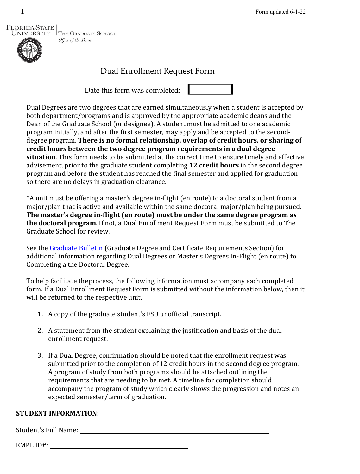

# Dual Enrollment Request Form

Date this form was completed:

Dual Degrees are two degrees that are earned simultaneously when a student is accepted by both department/programs and is approved by the appropriate academic deans and the Dean of the Graduate School (or designee). A student must be admitted to one academic program initially, and after the first semester, may apply and be accepted to the seconddegree program. **There is no formal relationship, overlap of credit hours, or sharing of credit hours between the two degree program requirements in a dual degree situation**. This form needs to be submitted at the correct time to ensure timely and effective advisement, prior to the graduate student completing **12 credit hours** in the second degree program and before the student has reached the final semester and applied for graduation so there are no delays in graduation clearance.

\*A unit must be offering a master's degree in-flight (en route) to a doctoral student from a major/plan that is active and available within the same doctoral major/plan being pursued. **The master's degree in-flight (en route) must be under the same degree program as the doctoral program**. If not, a Dual Enrollment Request Form must be submitted to The Graduate School for review.

See the [Graduate Bulletin](https://registrar.fsu.edu/bulletin/graduate/) (Graduate Degree and Certificate Requirements Section) for additional information regarding Dual Degrees or Master's Degrees In-Flight (en route) to Completing a the Doctoral Degree.

To help facilitate the process, the following information must accompany each completed form. If a Dual Enrollment Request Form is submitted without the information below, then it will be returned to the respective unit.

- 1. A copy of the graduate student's FSU unofficial transcript.
- 2. A statement from the student explaining the justification and basis of the dual enrollment request.
- 3. If a Dual Degree, confirmation should be noted that the enrollment request was submitted prior to the completion of 12 credit hours in the second degree program. A program of study from both programs should be attached outlining the requirements that are needing to be met. A timeline for completion should accompany the program of study which clearly shows the progression and notes an expected semester/term of graduation.

## **STUDENT INFORMATION:**

Student's Full Name:

| <b>EMD'</b><br>יי |  |  |
|-------------------|--|--|
|                   |  |  |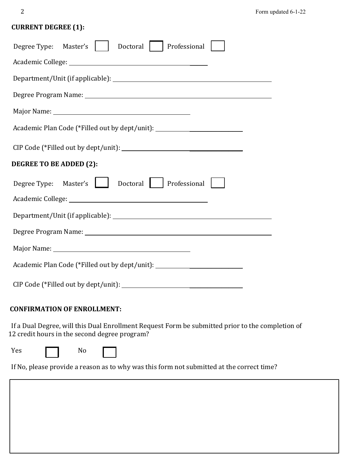## **CURRENT DEGREE (1):**

| Professional<br>Degree Type:<br>Master's<br>Doctoral                                                                                                                                                                           |
|--------------------------------------------------------------------------------------------------------------------------------------------------------------------------------------------------------------------------------|
|                                                                                                                                                                                                                                |
|                                                                                                                                                                                                                                |
| Degree Program Name: 1988 and 2008 and 2008 and 2008 and 2008 and 2008 and 2008 and 2008 and 2008 and 2008 and 2008 and 2008 and 2008 and 2008 and 2008 and 2008 and 2008 and 2008 and 2008 and 2008 and 2008 and 2008 and 200 |
|                                                                                                                                                                                                                                |
| Academic Plan Code (*Filled out by dept/unit): _________________________________                                                                                                                                               |
|                                                                                                                                                                                                                                |
| DEGREE TO BE ADDED (2):                                                                                                                                                                                                        |
| Master's<br>Doctoral<br>Professional<br>Degree Type:                                                                                                                                                                           |
|                                                                                                                                                                                                                                |
|                                                                                                                                                                                                                                |
|                                                                                                                                                                                                                                |
|                                                                                                                                                                                                                                |
| Academic Plan Code (*Filled out by dept/unit): _________________________________                                                                                                                                               |
|                                                                                                                                                                                                                                |

#### **CONFIRMATION OF ENROLLMENT:**

 If a Dual Degree, will this Dual Enrollment Request Form be submitted prior to the completion of 12 credit hours in the second degree program?

|  | I<br>×<br>۰. |  |
|--|--------------|--|
|  |              |  |

| I<br>Yes | No |
|----------|----|
|          |    |

If No, please provide a reason as to why was this form not submitted at the correct time?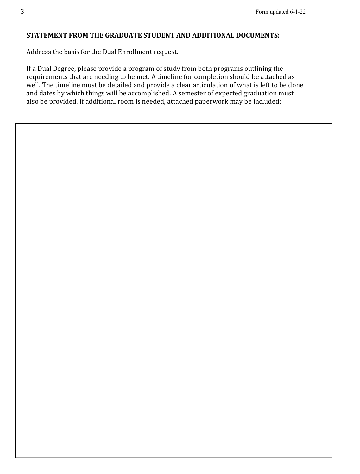### **STATEMENT FROM THE GRADUATE STUDENT AND ADDITIONAL DOCUMENTS:**

Address the basis for the Dual Enrollment request.

If a Dual Degree, please provide a program of study from both programs outlining the requirements that are needing to be met. A timeline for completion should be attached as well. The timeline must be detailed and provide a clear articulation of what is left to be done and dates by which things will be accomplished. A semester of expected graduation must also be provided. If additional room is needed, attached paperwork may be included: